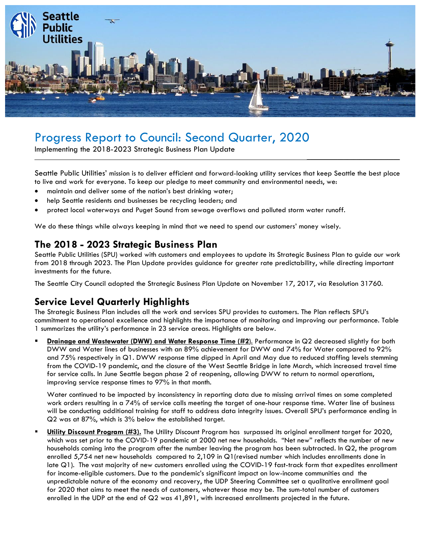

# Progress Report to Council: Second Quarter, 2020

Implementing the 2018-2023 Strategic Business Plan Update

Seattle Public Utilities' mission is to deliver efficient and forward-looking utility services that keep Seattle the best place to live and work for everyone. To keep our pledge to meet community and environmental needs, we:

 $\mathcal{L}_\text{max}$  and  $\mathcal{L}_\text{max}$  and  $\mathcal{L}_\text{max}$  and  $\mathcal{L}_\text{max}$ 

- maintain and deliver some of the nation's best drinking water;
- help Seattle residents and businesses be recycling leaders; and
- protect local waterways and Puget Sound from sewage overflows and polluted storm water runoff.

We do these things while always keeping in mind that we need to spend our customers' money wisely.

## **The 2018 - 2023 Strategic Business Plan**

Seattle Public Utilities (SPU) worked with customers and employees to update its Strategic Business Plan to guide our work from 2018 through 2023. The Plan Update provides guidance for greater rate predictability, while directing important investments for the future.

The Seattle City Council adopted the Strategic Business Plan Update on November 17, 2017, via Resolution 31760.

## **Service Level Quarterly Highlights**

The Strategic Business Plan includes all the work and services SPU provides to customers. The Plan reflects SPU's commitment to operational excellence and highlights the importance of monitoring and improving our performance. Table 1 summarizes the utility's performance in 23 service areas. Highlights are below.

▪ **Drainage and Wastewater (DWW) and Water Response Time (#2**). Performance in Q2 decreased slightly for both DWW and Water lines of businesses with an 89% achievement for DWW and 74% for Water compared to 92% and 75% respectively in Q1. DWW response time dipped in April and May due to reduced staffing levels stemming from the COVID-19 pandemic, and the closure of the West Seattle Bridge in late March, which increased travel time for service calls. In June Seattle began phase 2 of reopening, allowing DWW to return to normal operations, improving service response times to 97% in that month.

Water continued to be impacted by inconsistency in reporting data due to missing arrival times on some completed work orders resulting in a 74% of service calls meeting the target of one-hour response time. Water line of business will be conducting additional training for staff to address data integrity issues. Overall SPU's performance ending in Q2 was at 87%, which is 3% below the established target.

**Utility Discount Program (#3).** The Utility Discount Program has surpassed its original enrollment target for 2020, which was set prior to the COVID-19 pandemic at 2000 net new households. "Net new" reflects the number of new households coming into the program after the number leaving the program has been subtracted. In Q2, the program enrolled 5,754 net new households compared to 2,109 in Q1(revised number which includes enrollments done in late Q1). The vast majority of new customers enrolled using the COVID-19 fast-track form that expedites enrollment for income-eligible customers. Due to the pandemic's significant impact on low-income communities and the unpredictable nature of the economy and recovery, the UDP Steering Committee set a qualitative enrollment goal for 2020 that aims to meet the needs of customers, whatever those may be. The sum-total number of customers enrolled in the UDP at the end of Q2 was 41,891, with increased enrollments projected in the future.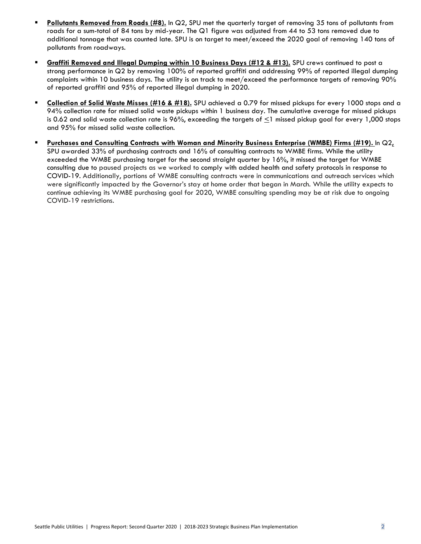- **Pollutants Removed from Roads (#8).** In Q2, SPU met the quarterly target of removing 35 tons of pollutants from roads for a sum-total of 84 tons by mid-year. The Q1 figure was adjusted from 44 to 53 tons removed due to additional tonnage that was counted late. SPU is on target to meet/exceed the 2020 goal of removing 140 tons of pollutants from roadways.
- **Graffiti Removed and Illegal Dumping within 10 Business Days (#12 & #13).** SPU crews continued to post a strong performance in Q2 by removing 100% of reported graffiti and addressing 99% of reported illegal dumping complaints within 10 business days. The utility is on track to meet/exceed the performance targets of removing 90% of reported graffiti and 95% of reported illegal dumping in 2020.
- **Collection of Solid Waste Misses (#16 & #18).** SPU achieved a 0.79 for missed pickups for every 1000 stops and a 94% collection rate for missed solid waste pickups within 1 business day. The cumulative average for missed pickups is 0.62 and solid waste collection rate is 96%, exceeding the targets of  $\leq$ 1 missed pickup goal for every 1,000 stops and 95% for missed solid waste collection.
- **Purchases and Consulting Contracts with Woman and Minority Business Enterprise (WMBE) Firms (#19).** In Q2**,**  SPU awarded 33% of purchasing contracts and 16% of consulting contracts to WMBE firms. While the utility exceeded the WMBE purchasing target for the second straight quarter by 16%, it missed the target for WMBE consulting due to paused projects as we worked to comply with added health and safety protocols in response to COVID-19. Additionally, portions of WMBE consulting contracts were in communications and outreach services which were significantly impacted by the Governor's stay at home order that began in March. While the utility expects to continue achieving its WMBE purchasing goal for 2020, WMBE consulting spending may be at risk due to ongoing COVID-19 restrictions.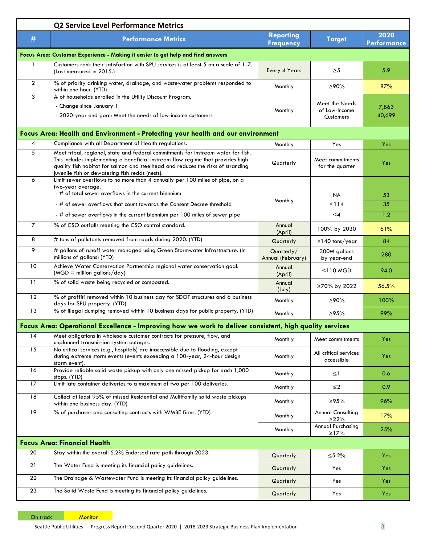|                                                                                 | <b>Q2 Service Level Performance Metrics</b>                                                                                                                                                                                                                                                                       |                                      |                                                     |                            |  |  |
|---------------------------------------------------------------------------------|-------------------------------------------------------------------------------------------------------------------------------------------------------------------------------------------------------------------------------------------------------------------------------------------------------------------|--------------------------------------|-----------------------------------------------------|----------------------------|--|--|
| #                                                                               | <b>Performance Metrics</b>                                                                                                                                                                                                                                                                                        | <b>Reporting</b><br><b>Frequency</b> | <b>Target</b>                                       | 2020<br><b>Performance</b> |  |  |
| Focus Area: Customer Experience - Making it easier to get help and find answers |                                                                                                                                                                                                                                                                                                                   |                                      |                                                     |                            |  |  |
|                                                                                 | Customers rank their satisfaction with SPU services is at least 5 on a scale of 1-7.<br>(Last measured in 2015.)                                                                                                                                                                                                  | Every 4 Years                        | $\geq 5$                                            | 5.9                        |  |  |
| $\overline{2}$                                                                  | % of priority drinking water, drainage, and wastewater problems responded to<br>within one hour. (YTD)                                                                                                                                                                                                            | Monthly                              | ≥90%                                                | 87%                        |  |  |
| 3                                                                               | # of households enrolled in the Utility Discount Program.<br>- Change since January 1<br>- 2020-year end goal: Meet the needs of low-income customers                                                                                                                                                             | Monthly                              | Meet the Needs<br>of Low-Income<br><b>Customers</b> | 7,863<br>40,699            |  |  |
|                                                                                 | Focus Area: Health and Environment - Protecting your health and our environment                                                                                                                                                                                                                                   |                                      |                                                     |                            |  |  |
| 4                                                                               | Compliance with all Department of Health regulations.                                                                                                                                                                                                                                                             | Monthly                              | Yes                                                 | Yes                        |  |  |
| 5                                                                               | Meet tribal, regional, state and federal commitments for instream water for fish.<br>This includes implementing a beneficial instream flow regime that provides high<br>quality fish habitat for salmon and steelhead and reduces the risks of stranding<br>juvenile fish or dewatering fish redds (nests).       | Quarterly                            | Meet commitments<br>for the quarter                 | Yes                        |  |  |
| 6                                                                               | Limit sewer overflows to no more than 4 annually per 100 miles of pipe, on a<br>two-year average.<br>- # of total sewer overflows in the current biennium<br>- # of sewer overflows that count towards the Consent Decree threshold<br>- # of sewer overflows in the current biennium per 100 miles of sewer pipe | Monthly                              | <b>NA</b><br>< 114<br>$\leq 4$                      | 53<br>35<br>1.2            |  |  |
| $\overline{7}$                                                                  | % of CSO outfalls meeting the CSO control standard.                                                                                                                                                                                                                                                               | Annual<br>(April)                    | 100% by 2030                                        | 61%                        |  |  |
| 8                                                                               | # tons of pollutants removed from roads during 2020. (YTD)                                                                                                                                                                                                                                                        | Quarterly                            | $\geq$ 140 tons/year                                | 84                         |  |  |
| 9                                                                               | # gallons of runoff water managed using Green Stormwater Infrastructure. (In<br>millions of gallons) (YTD)                                                                                                                                                                                                        | Quarterly/<br>Annual (February)      | 300M gallons<br>by year-end                         | 280                        |  |  |
| 10                                                                              | Achieve Water Conservation Partnership regional water conservation goal.<br>$(MGD =$ million gallons/day)                                                                                                                                                                                                         | Annual<br>(April)                    | <110 MGD                                            | 94.0                       |  |  |
| 11                                                                              | % of solid waste being recycled or composted.                                                                                                                                                                                                                                                                     | Annual<br>$(\text{July})$            | ≥70% by 2022                                        | 56.5%                      |  |  |
| 12                                                                              | % of graffiti removed within 10 business day for SDOT structures and 6 business<br>days for SPU property. (YTD)                                                                                                                                                                                                   | Monthly                              | ≥90%                                                | 100%                       |  |  |
| 13                                                                              | % of illegal dumping removed within 10 business days for public property. (YTD)                                                                                                                                                                                                                                   | Monthly                              | ≥95%                                                | 99%                        |  |  |
|                                                                                 | Focus Area: Operational Excellence - Improving how we work to deliver consistent, high quality services                                                                                                                                                                                                           |                                      |                                                     |                            |  |  |
| 14                                                                              | Meet obligations in wholesale customer contracts for pressure, flow, and<br>unplanned transmission system outages.                                                                                                                                                                                                | Monthly                              | Meet commitments                                    | Yes                        |  |  |
| 15                                                                              | No critical services (e.g., hospitals) are inaccessible due to flooding, except<br>during extreme storm events (events exceeding a 100-year, 24-hour design<br>storm event).                                                                                                                                      | Monthly                              | All critical services<br>accessible                 | Yes                        |  |  |
| 16                                                                              | Provide reliable solid waste pickup with only one missed pickup for each 1,000<br>stops. (YTD)                                                                                                                                                                                                                    | Monthly                              | $\leq$ 1                                            | 0.6                        |  |  |
| 17                                                                              | Limit late container deliveries to a maximum of two per 100 deliveries.                                                                                                                                                                                                                                           | Monthly                              | ≤2                                                  | 0.9                        |  |  |
| 18                                                                              | Collect at least 95% of missed Residential and Multifamily solid waste pickups<br>within one business day. (YTD)                                                                                                                                                                                                  | Monthly                              | ≥95%                                                | 96%                        |  |  |
| 19                                                                              | % of purchases and consulting contracts with WMBE firms. (YTD)                                                                                                                                                                                                                                                    | Monthly                              | <b>Annual Consulting</b><br>$\geq$ 22%              | 17%                        |  |  |
|                                                                                 |                                                                                                                                                                                                                                                                                                                   | Monthly                              | Annual Purchasing<br>$\geq$ 17%                     | 25%                        |  |  |
|                                                                                 | <b>Focus Area: Financial Health</b>                                                                                                                                                                                                                                                                               |                                      |                                                     |                            |  |  |
| 20                                                                              | Stay within the overall 5.2% Endorsed rate path through 2023.                                                                                                                                                                                                                                                     | Quarterly                            | ≤5.2%                                               | Yes.                       |  |  |
| 21                                                                              | The Water Fund is meeting its financial policy guidelines.                                                                                                                                                                                                                                                        | Quarterly                            | Yes                                                 | <b>Yes</b>                 |  |  |
| 22                                                                              | The Drainage & Wastewater Fund is meeting its financial policy guidelines.                                                                                                                                                                                                                                        | Quarterly                            | Yes                                                 | Yes                        |  |  |
| 23                                                                              | The Solid Waste Fund is meeting its financial policy guidelines.                                                                                                                                                                                                                                                  | Quarterly                            | Yes                                                 | Yes:                       |  |  |

On track Monitor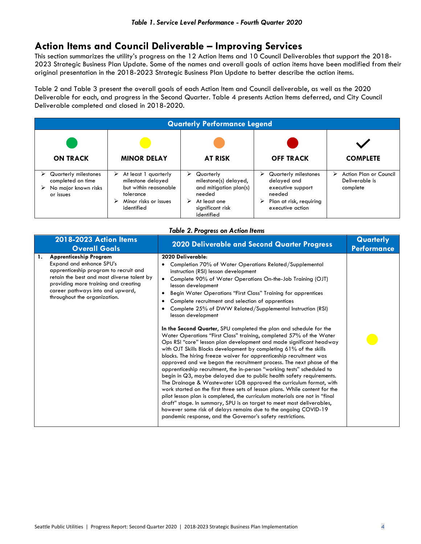## **Action Items and Council Deliverable – Improving Services**

This section summarizes the utility's progress on the 12 Action Items and 10 Council Deliverables that support the 2018- 2023 Strategic Business Plan Update. Some of the names and overall goals of action items have been modified from their original presentation in the 2018-2023 Strategic Business Plan Update to better describe the action items.

Table 2 and Table 3 present the overall goals of each Action Item and Council deliverable, as well as the 2020 Deliverable for each, and progress in the Second Quarter. Table 4 presents Action Items deferred, and City Council Deliverable completed and closed in 2018-2020.

| <b>Quarterly Performance Legend</b>                                            |                                                                                                                                  |                                                                                                                                    |                                                                                                                             |                                                           |  |
|--------------------------------------------------------------------------------|----------------------------------------------------------------------------------------------------------------------------------|------------------------------------------------------------------------------------------------------------------------------------|-----------------------------------------------------------------------------------------------------------------------------|-----------------------------------------------------------|--|
| <b>ON TRACK</b>                                                                | <b>MINOR DELAY</b>                                                                                                               | <b>AT RISK</b>                                                                                                                     | <b>OFF TRACK</b>                                                                                                            | <b>COMPLETE</b>                                           |  |
| Quarterly milestones<br>completed on time<br>No major known risks<br>or issues | At least 1 quarterly<br>➤<br>milestone delayed<br>but within reasonable<br>tolerance<br>Minor risks or issues<br>➤<br>identified | Quarterly<br>⋗<br>milestone(s) delayed,<br>and mitigation plan(s)<br>needed<br>At least one<br>➤<br>significant risk<br>identified | Quarterly milestones<br>⋗<br>delayed and<br>executive support<br>needed<br>Plan at risk, requiring<br>➤<br>executive action | Action Plan or Council<br>➤<br>Deliverable is<br>complete |  |

#### *Table 2. Progress on Action Items*

| 2018-2023 Action Items<br><b>Overall Goals</b>                                                                                                                                                                                                                     | 2020 Deliverable and Second Quarter Progress                                                                                                                                                                                                                                                                                                                                                                                                                                                                                                                                                                                                                                                                                                                                                                                                                                                                                                                                                                                                                                                                                                                                                                                                                                                                                                                                                                                                                                                | Quarterly<br><b>Performance</b> |
|--------------------------------------------------------------------------------------------------------------------------------------------------------------------------------------------------------------------------------------------------------------------|---------------------------------------------------------------------------------------------------------------------------------------------------------------------------------------------------------------------------------------------------------------------------------------------------------------------------------------------------------------------------------------------------------------------------------------------------------------------------------------------------------------------------------------------------------------------------------------------------------------------------------------------------------------------------------------------------------------------------------------------------------------------------------------------------------------------------------------------------------------------------------------------------------------------------------------------------------------------------------------------------------------------------------------------------------------------------------------------------------------------------------------------------------------------------------------------------------------------------------------------------------------------------------------------------------------------------------------------------------------------------------------------------------------------------------------------------------------------------------------------|---------------------------------|
| <b>Apprenticeship Program</b><br>1.<br>Expand and enhance SPU's<br>apprenticeship program to recruit and<br>retain the best and most diverse talent by<br>providing more training and creating<br>career pathways into and upward,<br>throughout the organization. | 2020 Deliverable:<br>Completion 70% of Water Operations Related/Supplemental<br>$\bullet$<br>instruction (RSI) lesson development<br>Complete 90% of Water Operations On-the-Job Training (OJT)<br>٠<br>lesson development<br>Begin Water Operations "First Class" Training for apprentices<br>٠<br>Complete recruitment and selection of apprentices<br>٠<br>Complete 25% of DWW Related/Supplemental Instruction (RSI)<br>٠<br>lesson development<br>In the Second Quarter, SPU completed the plan and schedule for the<br>Water Operations "First Class" training, completed 57% of the Water<br>Ops RSI "core" lesson plan development and made significant headway<br>with OJT Skills Blocks development by completing 61% of the skills<br>blocks. The hiring freeze waiver for apprenticeship recruitment was<br>approved and we began the recruitment process. The next phase of the<br>apprenticeship recruitment, the in-person "working tests" scheduled to<br>begin in Q3, maybe delayed due to public health safety requirements.<br>The Drainage & Wastewater LOB approved the curriculum format, with<br>work started on the first three sets of lesson plans. While content for the<br>pilot lesson plan is completed, the curriculum materials are not in "final<br>draft" stage. In summary, SPU is on target to meet most deliverables,<br>however some risk of delays remains due to the ongoing COVID-19<br>pandemic response, and the Governor's safety restrictions. |                                 |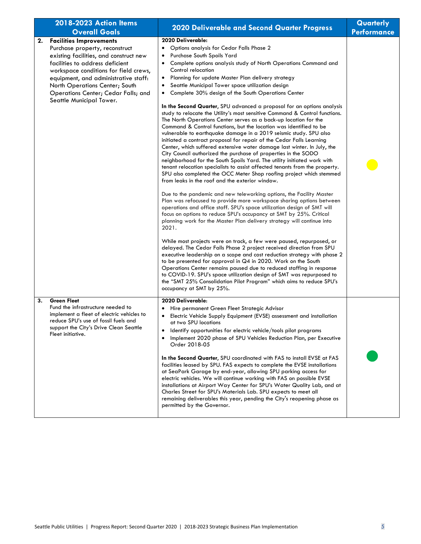|    | 2018-2023 Action Items<br><b>Overall Goals</b>                                                                                                                                                                                                                                                                                      | <b>2020 Deliverable and Second Quarter Progress</b>                                                                                                                                                                                                                                                                                                                                                                                                                                                                                                                                                                                                                                                                                                                                                                                                                                                                                                                                                                                                                                                                                                                                                                                                                                                                                                                                                                                                                                                                                                                                                                                                                                                                                                                                                                                                                                                                                                                                                                                                                                                                                                                                                                                             | Quarterly<br><b>Performance</b> |
|----|-------------------------------------------------------------------------------------------------------------------------------------------------------------------------------------------------------------------------------------------------------------------------------------------------------------------------------------|-------------------------------------------------------------------------------------------------------------------------------------------------------------------------------------------------------------------------------------------------------------------------------------------------------------------------------------------------------------------------------------------------------------------------------------------------------------------------------------------------------------------------------------------------------------------------------------------------------------------------------------------------------------------------------------------------------------------------------------------------------------------------------------------------------------------------------------------------------------------------------------------------------------------------------------------------------------------------------------------------------------------------------------------------------------------------------------------------------------------------------------------------------------------------------------------------------------------------------------------------------------------------------------------------------------------------------------------------------------------------------------------------------------------------------------------------------------------------------------------------------------------------------------------------------------------------------------------------------------------------------------------------------------------------------------------------------------------------------------------------------------------------------------------------------------------------------------------------------------------------------------------------------------------------------------------------------------------------------------------------------------------------------------------------------------------------------------------------------------------------------------------------------------------------------------------------------------------------------------------------|---------------------------------|
| 2. | <b>Facilities Improvements</b><br>Purchase property, reconstruct<br>existing facilities, and construct new<br>facilities to address deficient<br>workspace conditions for field crews,<br>equipment, and administrative staff:<br>North Operations Center; South<br>Operations Center; Cedar Falls; and<br>Seattle Municipal Tower. | 2020 Deliverable:<br>Options analysis for Cedar Falls Phase 2<br>$\bullet$<br>Purchase South Spoils Yard<br>$\bullet$<br>Complete options analysis study of North Operations Command and<br>$\bullet$<br>Control relocation<br>Planning for update Master Plan delivery strategy<br>٠<br>Seattle Municipal Tower space utilization design<br>$\bullet$<br>Complete 30% design of the South Operations Center<br>$\bullet$<br>In the Second Quarter, SPU advanced a proposal for an options analysis<br>study to relocate the Utility's most sensitive Command & Control functions.<br>The North Operations Center serves as a back-up location for the<br>Command & Control functions, but the location was identified to be<br>vulnerable to earthquake damage in a 2019 seismic study. SPU also<br>initiated a contract proposal for repair of the Cedar Falls Learning<br>Center, which suffered extensive water damage last winter. In July, the<br>City Council authorized the purchase of properties in the SODO<br>neighborhood for the South Spoils Yard. The utility initiated work with<br>tenant relocation specialists to assist affected tenants from the property.<br>SPU also completed the OCC Meter Shop roofing project which stemmed<br>from leaks in the roof and the exterior window.<br>Due to the pandemic and new teleworking options, the Facility Master<br>Plan was refocused to provide more workspace sharing options between<br>operations and office staff. SPU's space utilization design of SMT will<br>focus on options to reduce SPU's occupancy at SMT by 25%. Critical<br>planning work for the Master Plan delivery strategy will continue into<br>2021.<br>While most projects were on track, a few were paused, repurposed, or<br>delayed. The Cedar Falls Phase 2 project received direction from SPU<br>executive leadership on a scope and cost reduction strategy with phase 2<br>to be presented for approval in Q4 in 2020. Work on the South<br>Operations Center remains paused due to reduced staffing in response<br>to COVID-19. SPU's space utilization design of SMT was repurposed to<br>the "SMT 25% Consolidation Pilot Program" which aims to reduce SPU's<br>occupancy at SMT by 25%. |                                 |
| 3. | <b>Green Fleet</b><br>Fund the infrastructure needed to<br>implement a fleet of electric vehicles to<br>reduce SPU's use of fossil fuels and<br>support the City's Drive Clean Seattle<br>Fleet initiative.                                                                                                                         | 2020 Deliverable:<br>Hire permanent Green Fleet Strategic Advisor<br>$\bullet$<br>Electric Vehicle Supply Equipment (EVSE) assessment and installation<br>٠<br>at two SPU locations<br>Identify opportunities for electric vehicle/tools pilot programs<br>Implement 2020 phase of SPU Vehicles Reduction Plan, per Executive<br>٠<br>Order 2018-05<br>In the Second Quarter, SPU coordinated with FAS to install EVSE at FAS<br>facilities leased by SPU. FAS expects to complete the EVSE installations<br>at SeaPark Garage by end-year, allowing SPU parking access for<br>electric vehicles. We will continue working with FAS on possible EVSE<br>installations at Airport Way Center for SPU's Water Quality Lab, and at<br>Charles Street for SPU's Materials Lab. SPU expects to meet all<br>remaining deliverables this year, pending the City's reopening phase as<br>permitted by the Governor.                                                                                                                                                                                                                                                                                                                                                                                                                                                                                                                                                                                                                                                                                                                                                                                                                                                                                                                                                                                                                                                                                                                                                                                                                                                                                                                                     |                                 |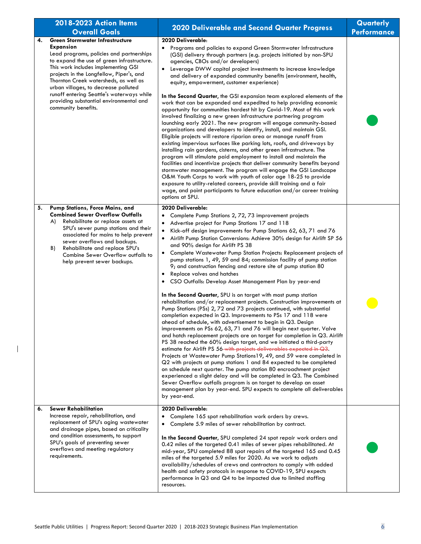| 2018-2023 Action Items                                                                                                                                                                                                                                                                                                                                                                                                                 |                                                                                                                                                                                                                                                                                                                                                                                                                                                                                                                                                                                                                                                                                                                                                                                                                                                                                                                                                                                                                                                                                                                                                                                                                                                                                                                                                                                                                                                                                                                                                                                                                                                                                                                                                                                                                    | Quarterly          |
|----------------------------------------------------------------------------------------------------------------------------------------------------------------------------------------------------------------------------------------------------------------------------------------------------------------------------------------------------------------------------------------------------------------------------------------|--------------------------------------------------------------------------------------------------------------------------------------------------------------------------------------------------------------------------------------------------------------------------------------------------------------------------------------------------------------------------------------------------------------------------------------------------------------------------------------------------------------------------------------------------------------------------------------------------------------------------------------------------------------------------------------------------------------------------------------------------------------------------------------------------------------------------------------------------------------------------------------------------------------------------------------------------------------------------------------------------------------------------------------------------------------------------------------------------------------------------------------------------------------------------------------------------------------------------------------------------------------------------------------------------------------------------------------------------------------------------------------------------------------------------------------------------------------------------------------------------------------------------------------------------------------------------------------------------------------------------------------------------------------------------------------------------------------------------------------------------------------------------------------------------------------------|--------------------|
| <b>Overall Goals</b>                                                                                                                                                                                                                                                                                                                                                                                                                   | 2020 Deliverable and Second Quarter Progress                                                                                                                                                                                                                                                                                                                                                                                                                                                                                                                                                                                                                                                                                                                                                                                                                                                                                                                                                                                                                                                                                                                                                                                                                                                                                                                                                                                                                                                                                                                                                                                                                                                                                                                                                                       | <b>Performance</b> |
| <b>Green Stormwater Infrastructure</b><br>4.<br>Expansion<br>Lead programs, policies and partnerships<br>to expand the use of green infrastructure.<br>This work includes implementing GSI<br>projects in the Longfellow, Piper's, and<br>Thornton Creek watersheds, as well as<br>urban villages, to decrease polluted<br>runoff entering Seattle's waterways while<br>providing substantial environmental and<br>community benefits. | 2020 Deliverable:<br>Programs and policies to expand Green Stormwater Infrastructure<br>٠<br>(GSI) delivery through partners (e.g. projects initiated by non-SPU<br>agencies, CBOs and/or developers)<br>• Leverage DWW capital project investments to increase knowledge<br>and delivery of expanded community benefits (environment, health,<br>equity, empowerment, customer experience)<br>In the Second Quarter, the GSI expansion team explored elements of the<br>work that can be expanded and expedited to help providing economic<br>opportunity for communities hardest hit by Covid-19. Most of this work<br>involved finalizing a new green infrastructure partnering program<br>launching early 2021. The new program will engage community-based<br>organizations and developers to identify, install, and maintain GSI.<br>Eligible projects will restore riparian area or manage runoff from<br>existing impervious surfaces like parking lots, roofs, and driveways by<br>installing rain gardens, cisterns, and other green infrastructure. The<br>program will stimulate paid employment to install and maintain the<br>facilities and incentivize projects that deliver community benefits beyond<br>stormwater management. The program will engage the GSI Landscape<br>O&M Youth Corps to work with youth of color age 18-25 to provide<br>exposure to utility-related careers, provide skill training and a fair<br>wage, and point participants to future education and/or career training<br>options at SPU.                                                                                                                                                                                                                                                                             |                    |
| Pump Stations, Force Mains, and<br>5.<br><b>Combined Sewer Overflow Outfalls</b><br>Rehabilitate or replace assets at<br>A)<br>SPU's sewer pump stations and their<br>associated for mains to help prevent<br>sewer overflows and backups.<br>Rehabilitate and replace SPU's<br>B)<br>Combine Sewer Overflow outfalls to<br>help prevent sewer backups.                                                                                | 2020 Deliverable:<br>Complete Pump Stations 2, 72, 73 improvement projects<br>Advertise project for Pump Stations 17 and 118<br>$\bullet$<br>Kick-off design improvements for Pump Stations 62, 63, 71 and 76<br>$\bullet$<br>Airlift Pump Station Conversions: Achieve 30% design for Airlift SP 56<br>$\bullet$<br>and 90% design for Airlift PS 38<br>Complete Wastewater Pump Station Projects: Replacement projects of<br>$\bullet$<br>pump stations 1, 49, 59 and 84; commission facility of pump station<br>9; and construction fencing and restore site of pump station 80<br>Replace valves and hatches<br>$\bullet$<br>CSO Outfalls: Develop Asset Management Plan by year-end<br>In the Second Quarter, SPU is on target with most pump station<br>rehabilitation and/or replacement projects. Construction improvements at<br>Pump Stations (PSs) 2, 72 and 73 projects continued, with substantial<br>completion expected in Q3. Improvements to PSs 17 and 118 were<br>ahead of schedule, with advertisement to begin in Q3. Design<br>improvements on PSs 62, 63, 71 and 76 will begin next quarter. Valve<br>and hatch replacement projects are on target for completion in Q3. Airlift<br>PS 38 reached the 60% design target, and we initiated a third-party<br>estimate for Airlift PS 56-with projects deliverables expected in Q3.<br>Projects at Wastewater Pump Stations 19, 49, and 59 were completed in<br>Q2 with projects at pump stations 1 and 84 expected to be completed<br>on schedule next quarter. The pump station 80 encroachment project<br>experienced a slight delay and will be completed in Q3. The Combined<br>Sewer Overflow outfalls program is on target to develop an asset<br>management plan by year-end. SPU expects to complete all deliverables<br>by year-end. |                    |
| <b>Sewer Rehabilitation</b><br>6.<br>Increase repair, rehabilitation, and<br>replacement of SPU's aging wastewater<br>and drainage pipes, based on criticality<br>and condition assessments, to support<br>SPU's goals of preventing sewer<br>overflows and meeting regulatory<br>requirements.                                                                                                                                        | 2020 Deliverable:<br>Complete 165 spot rehabilitation work orders by crews.<br>Complete 5.9 miles of sewer rehabilitation by contract.<br>$\bullet$<br>In the Second Quarter, SPU completed 24 spot repair work orders and<br>0.42 miles of the targeted 0.41 miles of sewer pipes rehabilitated. At<br>mid-year, SPU completed 88 spot repairs of the targeted 165 and 0.45<br>miles of the targeted 5.9 miles for 2020. As we work to adjusts<br>availability/schedules of crews and contractors to comply with added<br>health and safety protocols in response to COVID-19, SPU expects<br>performance in Q3 and Q4 to be impacted due to limited staffing<br>resources.                                                                                                                                                                                                                                                                                                                                                                                                                                                                                                                                                                                                                                                                                                                                                                                                                                                                                                                                                                                                                                                                                                                                       |                    |

 $\overline{1}$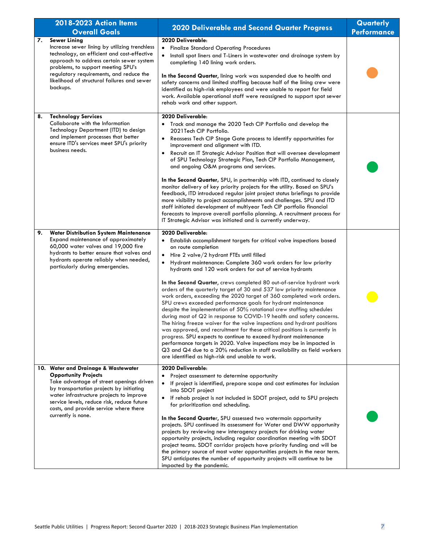|    | 2018-2023 Action Items<br><b>Overall Goals</b>                                                                                                                                                                                                                                                                       | <b>2020 Deliverable and Second Quarter Progress</b>                                                                                                                                                                                                                                                                                                                                                                                                                                                                                                                                                                                                                                                                                                                                                                                                                                                                                                                                                                                                                                                                                                                                                   | Quarterly<br><b>Performance</b> |
|----|----------------------------------------------------------------------------------------------------------------------------------------------------------------------------------------------------------------------------------------------------------------------------------------------------------------------|-------------------------------------------------------------------------------------------------------------------------------------------------------------------------------------------------------------------------------------------------------------------------------------------------------------------------------------------------------------------------------------------------------------------------------------------------------------------------------------------------------------------------------------------------------------------------------------------------------------------------------------------------------------------------------------------------------------------------------------------------------------------------------------------------------------------------------------------------------------------------------------------------------------------------------------------------------------------------------------------------------------------------------------------------------------------------------------------------------------------------------------------------------------------------------------------------------|---------------------------------|
| 7. | <b>Sewer Lining</b><br>Increase sewer lining by utilizing trenchless<br>technology, an efficient and cost-effective<br>approach to address certain sewer system<br>problems, to support meeting SPU's<br>regulatory requirements, and reduce the<br>likelihood of structural failures and sewer<br>backups.          | 2020 Deliverable:<br><b>Finalize Standard Operating Procedures</b><br>$\bullet$<br>Install spot liners and T-Liners in wastewater and drainage system by<br>$\bullet$<br>completing 140 lining work orders.<br>In the Second Quarter, lining work was suspended due to health and<br>safety concerns and limited staffing because half of the lining crew were<br>identified as high-risk employees and were unable to report for field<br>work. Available operational staff were reassigned to support spot sewer<br>rehab work and other support.                                                                                                                                                                                                                                                                                                                                                                                                                                                                                                                                                                                                                                                   |                                 |
| 8. | <b>Technology Services</b><br>Collaborate with the Information<br>Technology Department (ITD) to design<br>and implement processes that better<br>ensure ITD's services meet SPU's priority<br>business needs.                                                                                                       | 2020 Deliverable:<br>Track and manage the 2020 Tech CIP Portfolio and develop the<br>2021 Tech CIP Portfolio.<br>Reassess Tech CIP Stage Gate process to identify opportunities for<br>$\bullet$<br>improvement and alignment with ITD.<br>Recruit an IT Strategic Advisor Position that will oversee development<br>٠<br>of SPU Technology Strategic Plan, Tech CIP Portfolio Management,<br>and ongoing O&M programs and services.<br>In the Second Quarter, SPU, in partnership with ITD, continued to closely<br>monitor delivery of key priority projects for the utility. Based on SPU's<br>feedback, ITD introduced regular joint project status briefings to provide<br>more visibility to project accomplishments and challenges. SPU and ITD<br>staff initiated development of multiyear Tech CIP portfolio financial<br>forecasts to improve overall portfolio planning. A recruitment process for<br>IT Strategic Advisor was initiated and is currently underway.                                                                                                                                                                                                                        |                                 |
| 9. | <b>Water Distribution System Maintenance</b><br>Expand maintenance of approximately<br>60,000 water valves and 19,000 fire<br>hydrants to better ensure that valves and<br>hydrants operate reliably when needed,<br>particularly during emergencies.                                                                | 2020 Deliverable:<br>• Establish accomplishment targets for critical valve inspections based<br>on route completion<br>Hire 2 valve/2 hydrant FTEs until filled<br>$\bullet$<br>Hydrant maintenance: Complete 360 work orders for low priority<br>$\bullet$<br>hydrants and 120 work orders for out of service hydrants<br>In the Second Quarter, crews completed 80 out-of-service hydrant work<br>orders of the quarterly target of 30 and 537 low priority maintenance<br>work orders, exceeding the 2020 target of 360 completed work orders.<br>SPU crews exceeded performance goals for hydrant maintenance<br>despite the implementation of 50% rotational crew staffing schedules<br>during most of Q2 in response to COVID-19 health and safety concerns.<br>The hiring freeze waiver for the valve inspections and hydrant positions<br>was approved, and recruitment for these critical positions is currently in<br>progress. SPU expects to continue to exceed hydrant maintenance<br>performance targets in 2020. Valve inspections may be in impacted in<br>Q3 and Q4 due to a 20% reduction in staff availability as field workers<br>are identified as high-risk and unable to work. |                                 |
|    | 10. Water and Drainage & Wastewater<br><b>Opportunity Projects</b><br>Take advantage of street openings driven<br>by transportation projects by initiating<br>water infrastructure projects to improve<br>service levels, reduce risk, reduce future<br>costs, and provide service where there<br>currently is none. | 2020 Deliverable:<br>Project assessment to determine opportunity<br>$\bullet$<br>If project is identified, prepare scope and cost estimates for inclusion<br>into SDOT project<br>If rehab project is not included in SDOT project, add to SPU projects<br>٠<br>for prioritization and scheduling.<br>In the Second Quarter, SPU assessed two watermain opportunity<br>projects. SPU continued its assessment for Water and DWW opportunity<br>projects by reviewing new interagency projects for drinking water<br>opportunity projects, including regular coordination meeting with SDOT<br>project teams. SDOT corridor projects have priority funding and will be<br>the primary source of most water opportunities projects in the near term.<br>SPU anticipates the number of opportunity projects will continue to be<br>impacted by the pandemic.                                                                                                                                                                                                                                                                                                                                             |                                 |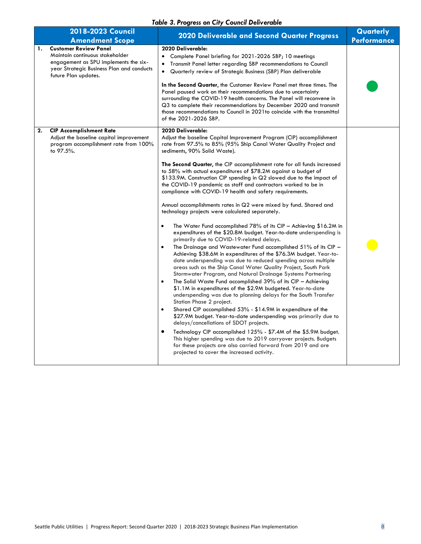#### *Table 3. Progress on City Council Deliverable*

|    | 2018-2023 Council<br><b>Amendment Scope</b>                                                                                                                                   | 2020 Deliverable and Second Quarter Progress                                                                                                                                                                                                                                                                                                                                                                                                                                                                                                                                                                                                                                                                                                                                                                                                                                                                                                                                                                                                                                                                                                                                                                                                                                                                                                                                                                                                                                                                                                                                                                                                                                                                                                                                                                                                                                                                                                     | Quarterly<br><b>Performance</b> |
|----|-------------------------------------------------------------------------------------------------------------------------------------------------------------------------------|--------------------------------------------------------------------------------------------------------------------------------------------------------------------------------------------------------------------------------------------------------------------------------------------------------------------------------------------------------------------------------------------------------------------------------------------------------------------------------------------------------------------------------------------------------------------------------------------------------------------------------------------------------------------------------------------------------------------------------------------------------------------------------------------------------------------------------------------------------------------------------------------------------------------------------------------------------------------------------------------------------------------------------------------------------------------------------------------------------------------------------------------------------------------------------------------------------------------------------------------------------------------------------------------------------------------------------------------------------------------------------------------------------------------------------------------------------------------------------------------------------------------------------------------------------------------------------------------------------------------------------------------------------------------------------------------------------------------------------------------------------------------------------------------------------------------------------------------------------------------------------------------------------------------------------------------------|---------------------------------|
| 1. | <b>Customer Review Panel</b><br>Maintain continuous stakeholder<br>engagement as SPU implements the six-<br>year Strategic Business Plan and conducts<br>future Plan updates. | 2020 Deliverable:<br>Complete Panel briefing for 2021-2026 SBP; 10 meetings<br>Transmit Panel letter regarding SBP recommendations to Council<br>$\bullet$<br>Quarterly review of Strategic Business (SBP) Plan deliverable<br>$\bullet$<br>In the Second Quarter, the Customer Review Panel met three times. The<br>Panel paused work on their recommendations due to uncertainty<br>surrounding the COVID-19 health concerns. The Panel will reconvene in<br>Q3 to complete their recommendations by December 2020 and transmit<br>those recommendations to Council in 2021 to coincide with the transmittal<br>of the 2021-2026 SBP.                                                                                                                                                                                                                                                                                                                                                                                                                                                                                                                                                                                                                                                                                                                                                                                                                                                                                                                                                                                                                                                                                                                                                                                                                                                                                                          |                                 |
| 2. | <b>CIP Accomplishment Rate</b><br>Adjust the baseline capital improvement<br>program accomplishment rate from 100%<br>to 97.5%.                                               | 2020 Deliverable:<br>Adjust the baseline Capital Improvement Program (CIP) accomplishment<br>rate from 97.5% to 85% (95% Ship Canal Water Quality Project and<br>sediments, 90% Solid Waste).<br>The Second Quarter, the CIP accomplishment rate for all funds increased<br>to 58% with actual expenditures of \$78.2M against a budget of<br>\$133.9M. Construction CIP spending in Q2 slowed due to the impact of<br>the COVID-19 pandemic as staff and contractors worked to be in<br>compliance with COVID-19 health and safety requirements.<br>Annual accomplishments rates in Q2 were mixed by fund. Shared and<br>technology projects were calculated separately.<br>The Water Fund accomplished $78\%$ of its CIP - Achieving \$16.2M in<br>$\bullet$<br>expenditures of the \$20.8M budget. Year-to-date underspending is<br>primarily due to COVID-19-related delays.<br>The Drainage and Wastewater Fund accomplished 51% of its CIP -<br>$\bullet$<br>Achieving \$38.6M in expenditures of the \$76.3M budget. Year-to-<br>date underspending was due to reduced spending across multiple<br>areas such as the Ship Canal Water Quality Project, South Park<br>Stormwater Program, and Natural Drainage Systems Partnering<br>The Solid Waste Fund accomplished $39%$ of its CIP - Achieving<br>$\bullet$<br>\$1.1M in expenditures of the \$2.9M budgeted. Year-to-date<br>underspending was due to planning delays for the South Transfer<br>Station Phase 2 project.<br>Shared CIP accomplished 53% - \$14.9M in expenditure of the<br>$\bullet$<br>\$27.9M budget. Year-to-date underspending was primarily due to<br>delays/cancellations of SDOT projects.<br>$\bullet$<br>Technology CIP accomplished 125% - \$7.4M of the \$5.9M budget.<br>This higher spending was due to 2019 carryover projects. Budgets<br>for these projects are also carried forward from 2019 and are<br>projected to cover the increased activity. |                                 |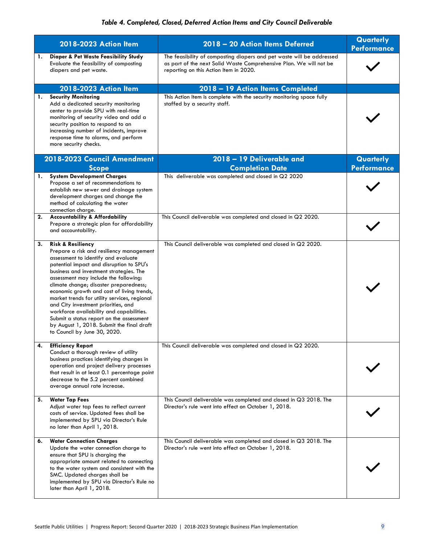|    | 2018-2023 Action Item                                                                                                                                                                                                                                                                                                                                                                                                                                                                                                                                                                               | 2018 - 20 Action Items Deferred                                                                                                                                                       | Quarterly<br><b>Performance</b> |
|----|-----------------------------------------------------------------------------------------------------------------------------------------------------------------------------------------------------------------------------------------------------------------------------------------------------------------------------------------------------------------------------------------------------------------------------------------------------------------------------------------------------------------------------------------------------------------------------------------------------|---------------------------------------------------------------------------------------------------------------------------------------------------------------------------------------|---------------------------------|
| 1. | <b>Diaper &amp; Pet Waste Feasibility Study</b><br>Evaluate the feasibility of composting<br>diapers and pet waste.                                                                                                                                                                                                                                                                                                                                                                                                                                                                                 | The feasibility of composting diapers and pet waste will be addressed<br>as part of the next Solid Waste Comprehensive Plan. We will not be<br>reporting on this Action Item in 2020. |                                 |
|    | 2018-2023 Action Item                                                                                                                                                                                                                                                                                                                                                                                                                                                                                                                                                                               | 2018 - 19 Action Items Completed                                                                                                                                                      |                                 |
| 1. | <b>Security Monitoring</b><br>Add a dedicated security monitoring<br>center to provide SPU with real-time<br>monitoring of security video and add a<br>security position to respond to an<br>increasing number of incidents, improve<br>response time to alarms, and perform<br>more security checks.                                                                                                                                                                                                                                                                                               | This Action Item is complete with the security monitoring space fully<br>staffed by a security staff.                                                                                 |                                 |
|    | 2018-2023 Council Amendment<br><b>Scope</b>                                                                                                                                                                                                                                                                                                                                                                                                                                                                                                                                                         | 2018 - 19 Deliverable and<br><b>Completion Date</b>                                                                                                                                   | Quarterly<br><b>Performance</b> |
|    | 1. System Development Charges<br>Propose a set of recommendations to<br>establish new sewer and drainage system<br>development charges and change the<br>method of calculating the water<br>connection charge.                                                                                                                                                                                                                                                                                                                                                                                      | This deliverable was completed and closed in Q2 2020                                                                                                                                  |                                 |
|    | 2. Accountability & Affordability<br>Prepare a strategic plan for affordability<br>and accountability.                                                                                                                                                                                                                                                                                                                                                                                                                                                                                              | This Council deliverable was completed and closed in Q2 2020.                                                                                                                         |                                 |
| 3. | <b>Risk &amp; Resiliency</b><br>Prepare a risk and resiliency management<br>assessment to identify and evaluate<br>potential impact and disruption to SPU's<br>business and investment strategies. The<br>assessment may include the following:<br>climate change; disaster preparedness;<br>economic growth and cost of living trends,<br>market trends for utility services, regional<br>and City investment priorities, and<br>workforce availability and capabilities.<br>Submit a status report on the assessment<br>by August 1, 2018. Submit the final draft<br>to Council by June 30, 2020. | This Council deliverable was completed and closed in Q2 2020.                                                                                                                         |                                 |
| 4. | <b>Efficiency Report</b><br>Conduct a thorough review of utility<br>business practices identifying changes in<br>operation and project delivery processes<br>that result in at least 0.1 percentage point<br>decrease to the 5.2 percent combined<br>average annual rate increase.                                                                                                                                                                                                                                                                                                                  | This Council deliverable was completed and closed in Q2 2020.                                                                                                                         |                                 |
| 5. | <b>Water Tap Fees</b><br>Adjust water tap fees to reflect current<br>costs of service. Updated fees shall be<br>implemented by SPU via Director's Rule<br>no later than April 1, 2018.                                                                                                                                                                                                                                                                                                                                                                                                              | This Council deliverable was completed and closed in Q3 2018. The<br>Director's rule went into effect on October 1, 2018.                                                             |                                 |
| 6. | <b>Water Connection Charges</b><br>Update the water connection charge to<br>ensure that SPU is charging the<br>appropriate amount related to connecting<br>to the water system and consistent with the<br>SMC. Updated charges shall be<br>implemented by SPU via Director's Rule no<br>later than April 1, 2018.                                                                                                                                                                                                                                                                                   | This Council deliverable was completed and closed in Q3 2018. The<br>Director's rule went into effect on October 1, 2018.                                                             |                                 |